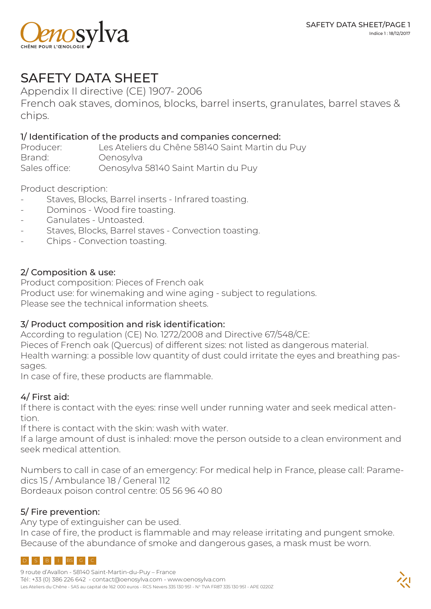

# SAFETY DATA SHEET

Appendix II directive (CE) 1907- 2006

French oak staves, dominos, blocks, barrel inserts, granulates, barrel staves & chips.

#### 1/ Identification of the products and companies concerned:

| Producer:     | Les Ateliers du Chêne 58140 Saint Martin du Puy |
|---------------|-------------------------------------------------|
| Brand:        | Oenosylva                                       |
| Sales office: | Oenosylva 58140 Saint Martin du Puy             |

Product description:

- Staves, Blocks, Barrel inserts Infrared toasting.
- Dominos Wood fire toasting.
- Ganulates Untoasted.
- Staves, Blocks, Barrel staves Convection toasting.
- Chips Convection toasting.

### 2/ Composition & use:

Product composition: Pieces of French oak Product use: for winemaking and wine aging - subject to regulations. Please see the technical information sheets.

#### 3/ Product composition and risk identification:

According to regulation (CE) No. 1272/2008 and Directive 67/548/CE: Pieces of French oak (Quercus) of different sizes: not listed as dangerous material. Health warning: a possible low quantity of dust could irritate the eyes and breathing passages.

In case of fire, these products are flammable.

# 4/ First aid:

If there is contact with the eyes: rinse well under running water and seek medical attention.

If there is contact with the skin: wash with water.

If a large amount of dust is inhaled: move the person outside to a clean environment and seek medical attention.

Numbers to call in case of an emergency: For medical help in France, please call: Paramedics 15 / Ambulance 18 / General 112

Bordeaux poison control centre: 05 56 96 40 80

# 5/ Fire prevention:

Any type of extinguisher can be used.

In case of fire, the product is flammable and may release irritating and pungent smoke. Because of the abundance of smoke and dangerous gases, a mask must be worn.

# $S$   $B$   $I$   $BS$   $C$   $C$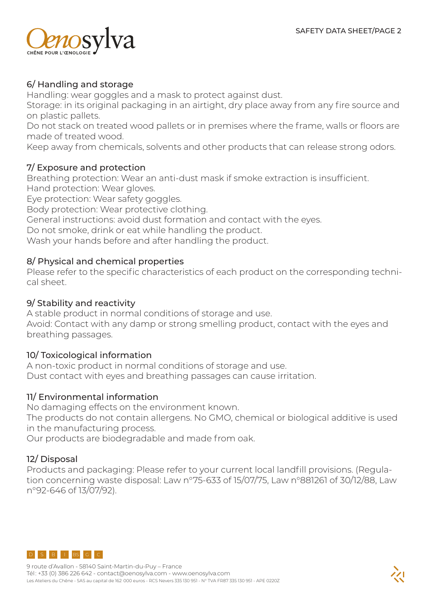

## 6/ Handling and storage

Handling: wear goggles and a mask to protect against dust.

Storage: in its original packaging in an airtight, dry place away from any fire source and on plastic pallets.

Do not stack on treated wood pallets or in premises where the frame, walls or floors are made of treated wood.

Keep away from chemicals, solvents and other products that can release strong odors.

#### 7/ Exposure and protection

Breathing protection: Wear an anti-dust mask if smoke extraction is insufficient. Hand protection: Wear gloves.

Eye protection: Wear safety goggles.

Body protection: Wear protective clothing.

General instructions: avoid dust formation and contact with the eyes.

Do not smoke, drink or eat while handling the product.

Wash your hands before and after handling the product.

#### 8/ Physical and chemical properties

Please refer to the specific characteristics of each product on the corresponding technical sheet.

#### 9/ Stability and reactivity

A stable product in normal conditions of storage and use. Avoid: Contact with any damp or strong smelling product, contact with the eyes and breathing passages.

#### 10/ Toxicological information

A non-toxic product in normal conditions of storage and use. Dust contact with eyes and breathing passages can cause irritation.

#### 11/ Environmental information

No damaging effects on the environment known.

The products do not contain allergens. No GMO, chemical or biological additive is used in the manufacturing process.

Our products are biodegradable and made from oak.

#### 12/ Disposal

Products and packaging: Please refer to your current local landfill provisions. (Regulation concerning waste disposal: Law n°75-633 of 15/07/75, Law n°881261 of 30/12/88, Law n°92-646 of 13/07/92).